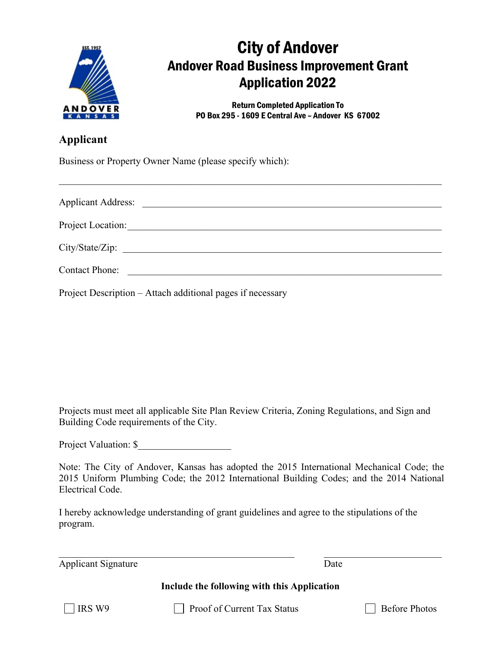

## City of Andover Andover Road Business Improvement Grant Application 2022

Return Completed Application To PO Box 295 - 1609 E Central Ave – Andover KS 67002

## **Applicant**

Business or Property Owner Name (please specify which):

| <b>Applicant Address:</b><br><u> 1980 - Andrea Albert III, politik a postal de la provincia de la provincia de la provincia de la provincia d</u> |
|---------------------------------------------------------------------------------------------------------------------------------------------------|
| Project Location:                                                                                                                                 |
| City/State/Zip:                                                                                                                                   |
| <b>Contact Phone:</b>                                                                                                                             |

\_\_\_\_\_\_\_\_\_\_\_\_\_\_\_\_\_\_\_\_\_\_\_\_\_\_\_\_\_\_\_\_\_\_\_\_\_\_\_\_\_\_\_\_\_\_\_\_\_\_\_\_\_\_\_\_\_\_\_\_\_\_\_\_\_\_\_\_\_\_\_\_\_\_\_\_\_\_

Project Description – Attach additional pages if necessary

Projects must meet all applicable Site Plan Review Criteria, Zoning Regulations, and Sign and Building Code requirements of the City.

Project Valuation: \$

Note: The City of Andover, Kansas has adopted the 2015 International Mechanical Code; the 2015 Uniform Plumbing Code; the 2012 International Building Codes; and the 2014 National Electrical Code.

I hereby acknowledge understanding of grant guidelines and agree to the stipulations of the program.

Applicant Signature Date

 $\_$  , and the set of the set of the set of the set of the set of the set of the set of the set of the set of the set of the set of the set of the set of the set of the set of the set of the set of the set of the set of th

**Include the following with this Application**

 $\Box$  IRS W9  $\Box$  Proof of Current Tax Status  $\Box$  Before Photos